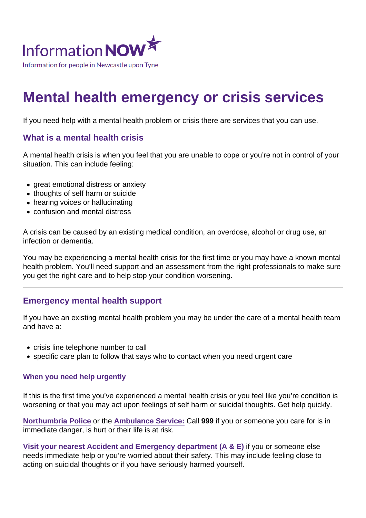# Mental health emergency or crisis services

If you need help with a mental health problem or crisis there are services that you can use.

#### What is a mental health crisis

A mental health crisis is when you feel that you are unable to cope or you're not in control of your situation. This can include feeling:

- great emotional distress or anxiety
- thoughts of self harm or suicide
- hearing voices or hallucinating
- confusion and mental distress

A crisis can be caused by an existing medical condition, an overdose, alcohol or drug use, an infection or dementia.

You may be experiencing a mental health crisis for the first time or you may have a known mental health problem. You'll need support and an assessment from the right professionals to make sure you get the right care and to help stop your condition worsening.

#### Emergency mental health support

If you have an existing mental health problem you may be under the care of a mental health team and have a:

- crisis line telephone number to call
- specific care plan to follow that says who to contact when you need urgent care

#### When you need help urgently

If this is the first time you've experienced a mental health crisis or you feel like you're condition is worsening or that you may act upon feelings of self harm or suicidal thoughts. Get help quickly.

[Northumbria Police](https://www.informationnow.org.uk/organisation/northumbria-police/) or the [Ambulance Service:](https://www.informationnow.org.uk/organisation/north-east-ambulance-service/) Call 999 if you or someone you care for is in immediate danger, is hurt or their life is at risk.

Visit your nearest Accident and Emergency department  $(A \& E)$  if you or someone else needs immediate help or you're worried about their safety. This may include feeling close to acting on suicidal thoughts or if you have seriously harmed yourself.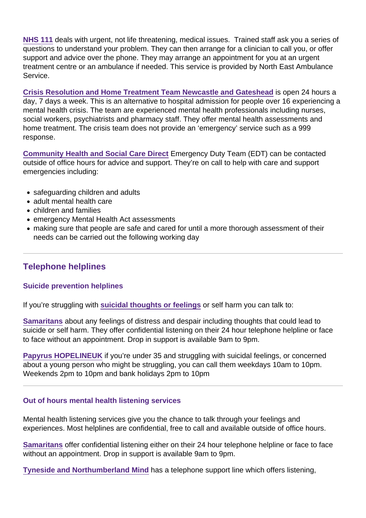[NHS 111](https://www.informationnow.org.uk/organisation/nhs-111/) deals with urgent, not life threatening, medical issues. Trained staff ask you a series of questions to understand your problem. They can then arrange for a clinician to call you, or offer support and advice over the phone. They may arrange an appointment for you at an urgent treatment centre or an ambulance if needed. This service is provided by North East Ambulance Service.

[Crisis Resolution and Home Treatment Team Newcastle and Gateshead](https://www.informationnow.org.uk/organisation/crisis-resolution-and-home-treatment-team-newcastle-and-gateshead-cumbria-northumberland-thyne-and-wear-nhs-foundation-trust/) is open 24 hours a day, 7 days a week. This is an alternative to hospital admission for people over 16 experiencing a mental health crisis. The team are experienced mental health professionals including nurses, social workers, psychiatrists and pharmacy staff. They offer mental health assessments and home treatment. The crisis team does not provide an 'emergency' service such as a 999 response.

[Community Health and Social Care Direct](https://www.informationnow.org.uk/organisation/community-health-social-care-direct-newcastle-city-council/) Emergency Duty Team (EDT) can be contacted outside of office hours for advice and support. They're on call to help with care and support emergencies including:

- safeguarding children and adults
- adult mental health care
- children and families
- emergency Mental Health Act assessments
- making sure that people are safe and cared for until a more thorough assessment of their needs can be carried out the following working day

# Telephone helplines

#### Suicide prevention helplines

If you're struggling with [suicidal thoughts or feelings](https://www.informationnow.org.uk/article/suicide/) or self harm you can talk to:

[Samaritans](https://www.informationnow.org.uk/organisation/samaritans-2/) about any feelings of distress and despair including thoughts that could lead to suicide or self harm. They offer confidential listening on their 24 hour telephone helpline or face to face without an appointment. Drop in support is available 9am to 9pm.

[Papyrus HOPELINEUK](https://www.informationnow.org.uk/organisation/papyrus/) if you're under 35 and struggling with suicidal feelings, or concerned about a young person who might be struggling, you can call them weekdays 10am to 10pm. Weekends 2pm to 10pm and bank holidays 2pm to 10pm

#### Out of hours mental health listening services

Mental health listening services give you the chance to talk through your feelings and experiences. Most helplines are confidential, free to call and available outside of office hours.

[Samaritans](https://www.informationnow.org.uk/organisation/samaritans-2/) offer confidential listening either on their 24 hour telephone helpline or face to face without an appointment. Drop in support is available 9am to 9pm.

[Tyneside and Northumberland Mind](https://www.informationnow.org.uk/organisation/mind/) has a telephone support line which offers listening,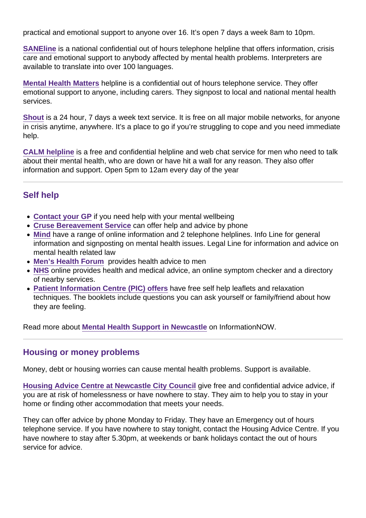practical and emotional support to anyone over 16. It's open 7 days a week 8am to 10pm.

[SANEline](https://www.informationnow.org.uk/organisation/sane-2/) is a national confidential out of hours telephone helpline that offers information, crisis care and emotional support to anybody affected by mental health problems. Interpreters are available to translate into over 100 languages.

[Mental Health Matters](https://www.informationnow.org.uk/organisation/mental-health-matters/) helpline is a confidential out of hours telephone service. They offer emotional support to anyone, including carers. They signpost to local and national mental health services.

[Shout](https://www.informationnow.org.uk/organisation/shout/) is a 24 hour, 7 days a week text service. It is free on all major mobile networks, for anyone in crisis anytime, anywhere. It's a place to go if you're struggling to cope and you need immediate help.

[CALM helpline](https://www.informationnow.org.uk/organisation/campaign-against-living-miserably-calm/) is a free and confidential helpline and web chat service for men who need to talk about their mental health, who are down or have hit a wall for any reason. They also offer information and support. Open 5pm to 12am every day of the year

#### Self help

- [Contact your GP](https://www.informationnow.org.uk/article/your-doctor-or-gp/) if you need help with your mental wellbeing
- [Cruse Bereavement Service](https://www.informationnow.org.uk/organisation/cruse-bereavement-care/) can offer help and advice by phone
- [Mind](https://www.informationnow.org.uk/organisation/mind-2/) have a range of online information and 2 telephone helplines. Info Line for general information and signposting on mental health issues. Legal Line for information and advice on mental health related law
- [Men's Health Forum](https://www.informationnow.org.uk/organisation/mens-health-forum/) provides health advice to men
- [NHS](https://www.informationnow.org.uk/organisation/nhs/) online provides health and medical advice, an online symptom checker and a directory of nearby services.
- [Patient Information Centre \(PIC\) offers](https://www.informationnow.org.uk/organisation/patient-information-centre-cumbria-northumberland-tyne-and-wear-nhs-foundation-trust/) have free self help leaflets and relaxation techniques. The booklets include questions you can ask yourself or family/friend about how they are feeling.

Read more about [Mental Health Support in Newcastle](https://www.informationnow.org.uk/article/mental-health/) on InformationNOW.

#### Housing or money problems

Money, debt or housing worries can cause mental health problems. Support is available.

[Housing Advice Centre at Newcastle City Council](https://www.informationnow.org.uk/organisation/housing-advice-centre-newcastle-city-council/) give free and confidential advice advice, if you are at risk of homelessness or have nowhere to stay. They aim to help you to stay in your home or finding other accommodation that meets your needs.

They can offer advice by phone Monday to Friday. They have an Emergency out of hours telephone service. If you have nowhere to stay tonight, contact the Housing Advice Centre. If you have nowhere to stay after 5.30pm, at weekends or bank holidays contact the out of hours service for advice.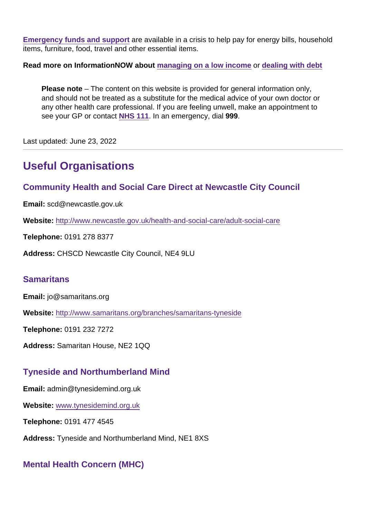[Emergency funds and support](https://www.informationnow.org.uk/article/emergency-funds-and-support/) are available in a crisis to help pay for energy bills, household items, furniture, food, travel and other essential items.

Read more on InformationNOW about [managing on a low income](https://www.informationnow.org.uk/article/managing-on-a-low-income-saving-money/) or [dealing with debt](https://www.informationnow.org.uk/article/dealing-with-debt/)

Please note – The content on this website is provided for general information only, and should not be treated as a substitute for the medical advice of your own doctor or any other health care professional. If you are feeling unwell, make an appointment to see your GP or contact [NHS 111](https://www.informationnow.org.uk/organisation/nhs-111/). In an emergency, dial 999.

Last updated: June 23, 2022

# Useful Organisations

Community Health and Social Care Direct at Newcastle City Council

Email: scd@newcastle.gov.uk

Website: <http://www.newcastle.gov.uk/health-and-social-care/adult-social-care>

Telephone: 0191 278 8377

Address: CHSCD Newcastle City Council, NE4 9LU

#### **Samaritans**

Email: jo@samaritans.org

Website: <http://www.samaritans.org/branches/samaritans-tyneside>

Telephone: 0191 232 7272

Address: Samaritan House, NE2 1QQ

# Tyneside and Northumberland Mind

Email: admin@tynesidemind.org.uk

Website: [www.tynesidemind.org.uk](/var/www/vhosts/informationnow.org.uk/httpdocs/wp-content/themes/infonow/pdf/www.tynesidemind.org.uk)

Telephone: 0191 477 4545

Address: Tyneside and Northumberland Mind, NE1 8XS

# Mental Health Concern (MHC)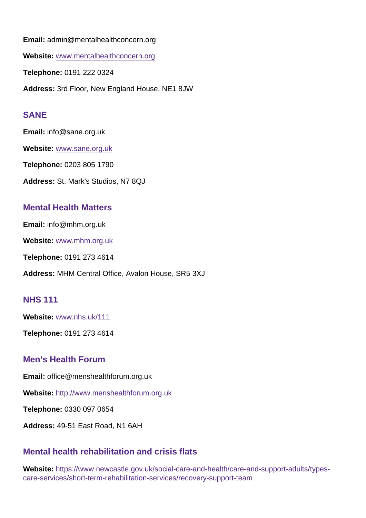Email: admin@mentalhealthconcern.org

Website: [www.mentalhealthconcern.org](/var/www/vhosts/informationnow.org.uk/httpdocs/wp-content/themes/infonow/pdf/www.mentalhealthconcern.org)

Telephone: 0191 222 0324

Address: 3rd Floor, New England House, NE1 8JW

#### SANE

Email: info@sane.org.uk

Website: [www.sane.org.uk](/var/www/vhosts/informationnow.org.uk/httpdocs/wp-content/themes/infonow/pdf/www.sane.org.uk)

Telephone: 0203 805 1790

Address: St. Mark's Studios, N7 8QJ

#### Mental Health Matters

Email: info@mhm.org.uk

Website: [www.mhm.org.uk](/var/www/vhosts/informationnow.org.uk/httpdocs/wp-content/themes/infonow/pdf/www.mhm.org.uk)

Telephone: 0191 273 4614

Address: MHM Central Office, Avalon House, SR5 3XJ

#### NHS 111

Website: [www.nhs.uk/111](/var/www/vhosts/informationnow.org.uk/httpdocs/wp-content/themes/infonow/pdf/www.nhs.uk/111)

Telephone: 0191 273 4614

#### Men's Health Forum

Email: office@menshealthforum.org.uk

Website: <http://www.menshealthforum.org.uk>

Telephone: 0330 097 0654

Address: 49-51 East Road, N1 6AH

#### Mental health rehabilitation and crisis flats

Website: [https://www.newcastle.gov.uk/social-care-and-health/care-and-support-adults/types](https://www.newcastle.gov.uk/social-care-and-health/care-and-support-adults/types-care-services/short-term-rehabilitation-services/recovery-support-team)[care-services/short-term-rehabilitation-services/recovery-support-team](https://www.newcastle.gov.uk/social-care-and-health/care-and-support-adults/types-care-services/short-term-rehabilitation-services/recovery-support-team)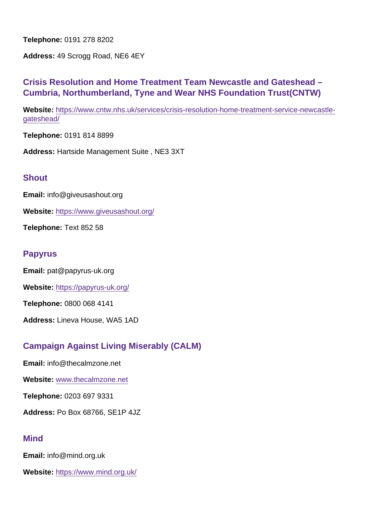Telephone: 0191 278 8202

Address: 49 Scrogg Road, NE6 4EY

Crisis Resolution and Home Treatment Team Newcastle and Gateshead – Cumbria, Northumberland, Tyne and Wear NHS Foundation Trust(CNTW)

Website: [https://www.cntw.nhs.uk/services/crisis-resolution-home-treatment-service-newcastle](https://www.cntw.nhs.uk/services/crisis-resolution-home-treatment-service-newcastle-gateshead/)[gateshead/](https://www.cntw.nhs.uk/services/crisis-resolution-home-treatment-service-newcastle-gateshead/)

Telephone: 0191 814 8899

Address: Hartside Management Suite , NE3 3XT

#### **Shout**

Email: info@giveusashout.org

Website: <https://www.giveusashout.org/>

Telephone: Text 852 58

#### Papyrus

Email: pat@papyrus-uk.org

Website: <https://papyrus-uk.org/>

Telephone: 0800 068 4141

Address: Lineva House, WA5 1AD

# Campaign Against Living Miserably (CALM)

Email: info@thecalmzone.net

Website: [www.thecalmzone.net](/var/www/vhosts/informationnow.org.uk/httpdocs/wp-content/themes/infonow/pdf/www.thecalmzone.net)

Telephone: 0203 697 9331

Address: Po Box 68766, SE1P 4JZ

#### **Mind**

Email: info@mind.org.uk

Website: <https://www.mind.org.uk/>